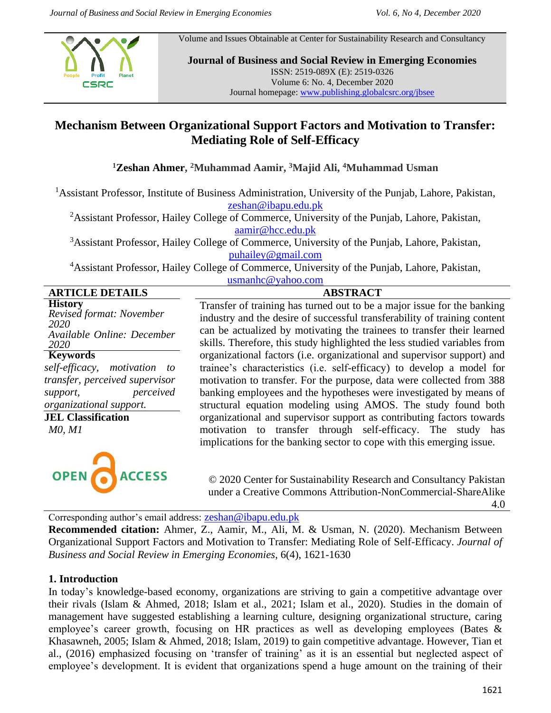Volume and Issues Obtainable at Center for Sustainability Research and Consultancy



**Journal of Business and Social Review in Emerging Economies** ISSN: 2519-089X (E): 2519-0326 Volume 6: No. 4, December 2020 Journal homepage: [www.publishing.globalcsrc.org/jbsee](http://www.publishing.globalcsrc.org/jbsee)

# **Mechanism Between Organizational Support Factors and Motivation to Transfer: Mediating Role of Self-Efficacy**

**<sup>1</sup>Zeshan Ahmer, <sup>2</sup>Muhammad Aamir, <sup>3</sup>Majid Ali, <sup>4</sup>Muhammad Usman**

<sup>1</sup> Assistant Professor, Institute of Business Administration, University of the Punjab, Lahore, Pakistan, [zeshan@ibapu.edu.pk](mailto:zeshan@ibapu.edu.pk)

<sup>2</sup>Assistant Professor, Hailey College of Commerce, University of the Punjab, Lahore, Pakistan, [aamir@hcc.edu.pk](mailto:aamir@hcc.edu.pk)

<sup>3</sup>Assistant Professor, Hailey College of Commerce, University of the Punjab, Lahore, Pakistan, [puhailey@gmail.com](mailto:puhailey@gmail.com)

<sup>4</sup>Assistant Professor, Hailey College of Commerce, University of the Punjab, Lahore, Pakistan, [usmanhc@yahoo.com](mailto:usmanhc@yahoo.com)

|                        | $\mu$ <sub>111</sub> $\mu$ <sub>1111</sub> $\sim$ $\mu$ <sub>111</sub> |                 |
|------------------------|------------------------------------------------------------------------|-----------------|
| <b>ARTICLE DETAILS</b> |                                                                        | <b>ABSTRACT</b> |

**History** *Revised format: November 2020 Available Online: December 2020* **Keywords** *self-efficacy, motivation to transfer, perceived supervisor support, perceived organizational support.* **JEL Classification** *M0, M1*



Transfer of training has turned out to be a major issue for the banking industry and the desire of successful transferability of training content can be actualized by motivating the trainees to transfer their learned skills. Therefore, this study highlighted the less studied variables from organizational factors (i.e. organizational and supervisor support) and trainee's characteristics (i.e. self-efficacy) to develop a model for motivation to transfer. For the purpose, data were collected from 388 banking employees and the hypotheses were investigated by means of structural equation modeling using AMOS. The study found both organizational and supervisor support as contributing factors towards motivation to transfer through self-efficacy. The study has implications for the banking sector to cope with this emerging issue.

© 2020 Center for Sustainability Research and Consultancy Pakistan under a Creative Commons Attribution-NonCommercial-ShareAlike

Corresponding author's email address: [zeshan@ibapu.edu.pk](mailto:zeshan@ibapu.edu.pk)

**Recommended citation:** Ahmer, Z., Aamir, M., Ali, M. & Usman, N. (2020). Mechanism Between Organizational Support Factors and Motivation to Transfer: Mediating Role of Self-Efficacy. *Journal of Business and Social Review in Emerging Economies*, 6(4), 1621-1630

# **1. Introduction**

In today's knowledge-based economy, organizations are striving to gain a competitive advantage over their rivals (Islam & Ahmed, 2018; Islam et al., 2021; Islam et al., 2020). Studies in the domain of management have suggested establishing a learning culture, designing organizational structure, caring employee's career growth, focusing on HR practices as well as developing employees (Bates & Khasawneh, 2005; Islam & Ahmed, 2018; Islam, 2019) to gain competitive advantage. However, Tian et al., (2016) emphasized focusing on 'transfer of training' as it is an essential but neglected aspect of employee's development. It is evident that organizations spend a huge amount on the training of their

4.0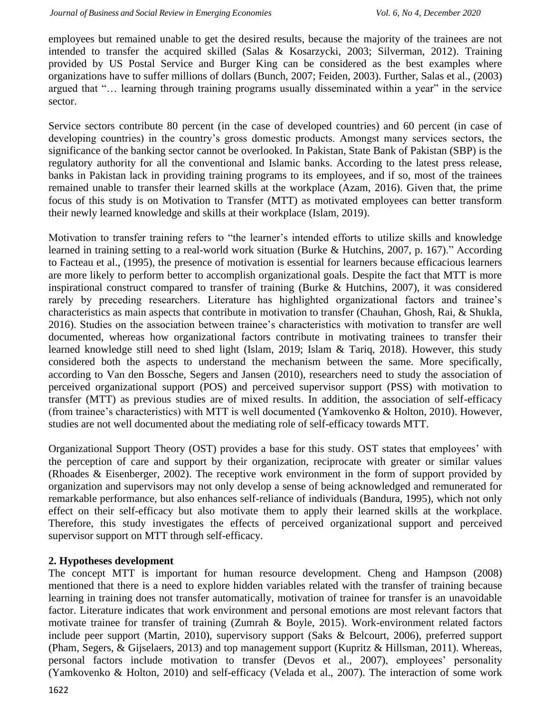employees but remained unable to get the desired results, because the majority of the trainees are not intended to transfer the acquired skilled (Salas & Kosarzycki, 2003; Silverman, 2012). Training provided by US Postal Service and Burger King can be considered as the best examples where organizations have to suffer millions of dollars (Bunch, 2007; Feiden, 2003). Further, Salas et al., (2003) argued that "… learning through training programs usually disseminated within a year" in the service sector.

Service sectors contribute 80 percent (in the case of developed countries) and 60 percent (in case of developing countries) in the country's gross domestic products. Amongst many services sectors, the significance of the banking sector cannot be overlooked. In Pakistan, State Bank of Pakistan (SBP) is the regulatory authority for all the conventional and Islamic banks. According to the latest press release, banks in Pakistan lack in providing training programs to its employees, and if so, most of the trainees remained unable to transfer their learned skills at the workplace (Azam, 2016). Given that, the prime focus of this study is on Motivation to Transfer (MTT) as motivated employees can better transform their newly learned knowledge and skills at their workplace (Islam, 2019).

Motivation to transfer training refers to "the learner's intended efforts to utilize skills and knowledge learned in training setting to a real-world work situation (Burke & Hutchins, 2007, p. 167)." According to Facteau et al., (1995), the presence of motivation is essential for learners because efficacious learners are more likely to perform better to accomplish organizational goals. Despite the fact that MTT is more inspirational construct compared to transfer of training (Burke & Hutchins, 2007), it was considered rarely by preceding researchers. Literature has highlighted organizational factors and trainee's characteristics as main aspects that contribute in motivation to transfer (Chauhan, Ghosh, Rai, & Shukla, 2016). Studies on the association between trainee's characteristics with motivation to transfer are well documented, whereas how organizational factors contribute in motivating trainees to transfer their learned knowledge still need to shed light (Islam, 2019; Islam & Tariq, 2018). However, this study considered both the aspects to understand the mechanism between the same. More specifically, according to Van den Bossche, Segers and Jansen (2010), researchers need to study the association of perceived organizational support (POS) and perceived supervisor support (PSS) with motivation to transfer (MTT) as previous studies are of mixed results. In addition, the association of self-efficacy (from trainee's characteristics) with MTT is well documented (Yamkovenko & Holton, 2010). However, studies are not well documented about the mediating role of self-efficacy towards MTT.

Organizational Support Theory (OST) provides a base for this study. OST states that employees' with the perception of care and support by their organization, reciprocate with greater or similar values (Rhoades & Eisenberger, 2002). The receptive work environment in the form of support provided by organization and supervisors may not only develop a sense of being acknowledged and remunerated for remarkable performance, but also enhances self-reliance of individuals (Bandura, 1995), which not only effect on their self-efficacy but also motivate them to apply their learned skills at the workplace. Therefore, this study investigates the effects of perceived organizational support and perceived supervisor support on MTT through self-efficacy.

## **2. Hypotheses development**

The concept MTT is important for human resource development. Cheng and Hampson (2008) mentioned that there is a need to explore hidden variables related with the transfer of training because learning in training does not transfer automatically, motivation of trainee for transfer is an unavoidable factor. Literature indicates that work environment and personal emotions are most relevant factors that motivate trainee for transfer of training (Zumrah & Boyle, 2015). Work-environment related factors include peer support (Martin, 2010), supervisory support (Saks & Belcourt, 2006), preferred support (Pham, Segers, & Gijselaers, 2013) and top management support (Kupritz & Hillsman, 2011). Whereas, personal factors include motivation to transfer (Devos et al., 2007), employees' personality (Yamkovenko & Holton, 2010) and self-efficacy (Velada et al., 2007). The interaction of some work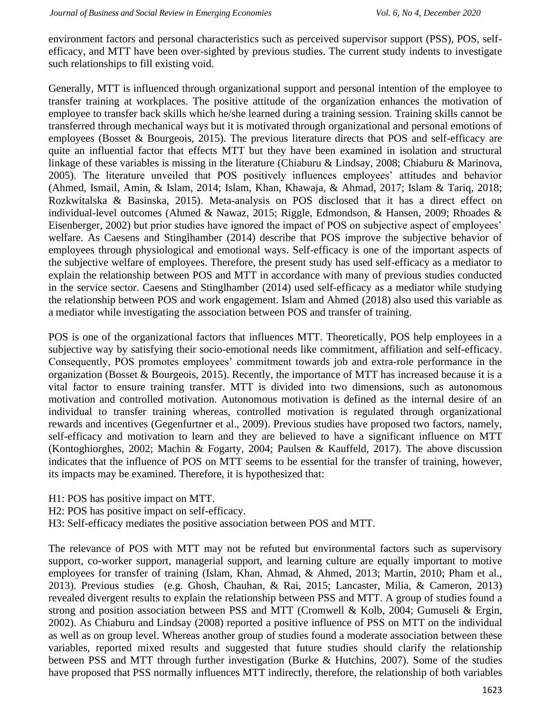environment factors and personal characteristics such as perceived supervisor support (PSS), POS, selfefficacy, and MTT have been over-sighted by previous studies. The current study indents to investigate such relationships to fill existing void.

Generally, MTT is influenced through organizational support and personal intention of the employee to transfer training at workplaces. The positive attitude of the organization enhances the motivation of employee to transfer back skills which he/she learned during a training session. Training skills cannot be transferred through mechanical ways but it is motivated through organizational and personal emotions of employees (Bosset & Bourgeois, 2015). The previous literature directs that POS and self-efficacy are quite an influential factor that effects MTT but they have been examined in isolation and structural linkage of these variables is missing in the literature (Chiaburu & Lindsay, 2008; Chiaburu & Marinova, 2005). The literature unveiled that POS positively influences employees' attitudes and behavior (Ahmed, Ismail, Amin, & Islam, 2014; Islam, Khan, Khawaja, & Ahmad, 2017; Islam & Tariq, 2018; Rozkwitalska & Basinska, 2015). Meta-analysis on POS disclosed that it has a direct effect on individual-level outcomes (Ahmed & Nawaz, 2015; Riggle, Edmondson, & Hansen, 2009; Rhoades & Eisenberger, 2002) but prior studies have ignored the impact of POS on subjective aspect of employees' welfare. As Caesens and Stinglhamber (2014) describe that POS improve the subjective behavior of employees through physiological and emotional ways. Self-efficacy is one of the important aspects of the subjective welfare of employees. Therefore, the present study has used self-efficacy as a mediator to explain the relationship between POS and MTT in accordance with many of previous studies conducted in the service sector. Caesens and Stinglhamber (2014) used self-efficacy as a mediator while studying the relationship between POS and work engagement. Islam and Ahmed (2018) also used this variable as a mediator while investigating the association between POS and transfer of training.

POS is one of the organizational factors that influences MTT. Theoretically, POS help employees in a subjective way by satisfying their socio-emotional needs like commitment, affiliation and self-efficacy. Consequently, POS promotes employees' commitment towards job and extra-role performance in the organization (Bosset & Bourgeois, 2015). Recently, the importance of MTT has increased because it is a vital factor to ensure training transfer. MTT is divided into two dimensions, such as autonomous motivation and controlled motivation. Autonomous motivation is defined as the internal desire of an individual to transfer training whereas, controlled motivation is regulated through organizational rewards and incentives (Gegenfurtner et al., 2009). Previous studies have proposed two factors, namely, self-efficacy and motivation to learn and they are believed to have a significant influence on MTT (Kontoghiorghes, 2002; Machin & Fogarty, 2004; Paulsen & Kauffeld, 2017). The above discussion indicates that the influence of POS on MTT seems to be essential for the transfer of training, however, its impacts may be examined. Therefore, it is hypothesized that:

- H1: POS has positive impact on MTT.
- H2: POS has positive impact on self-efficacy.
- H3: Self-efficacy mediates the positive association between POS and MTT.

The relevance of POS with MTT may not be refuted but environmental factors such as supervisory support, co-worker support, managerial support, and learning culture are equally important to motive employees for transfer of training (Islam, Khan, Ahmad, & Ahmed, 2013; Martin, 2010; Pham et al., 2013). Previous studies (e.g. Ghosh, Chauhan, & Rai, 2015; Lancaster, Milia, & Cameron, 2013) revealed divergent results to explain the relationship between PSS and MTT. A group of studies found a strong and position association between PSS and MTT (Cromwell & Kolb, 2004; Gumuseli & Ergin, 2002). As Chiaburu and Lindsay (2008) reported a positive influence of PSS on MTT on the individual as well as on group level. Whereas another group of studies found a moderate association between these variables, reported mixed results and suggested that future studies should clarify the relationship between PSS and MTT through further investigation (Burke & Hutchins, 2007). Some of the studies have proposed that PSS normally influences MTT indirectly, therefore, the relationship of both variables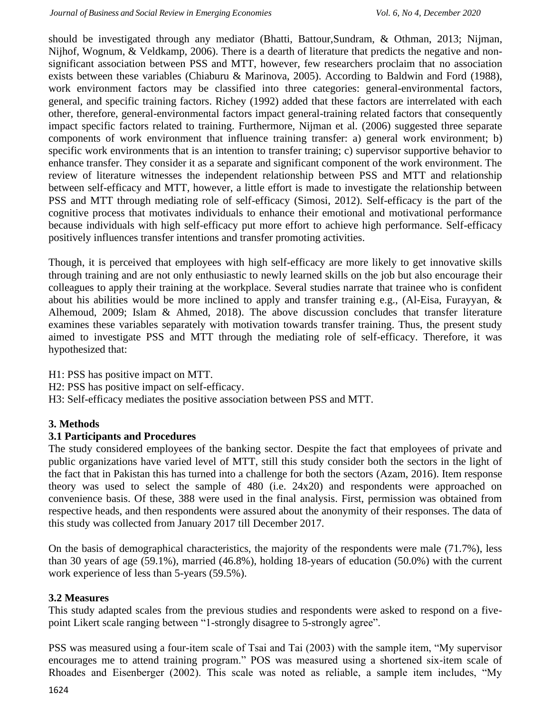should be investigated through any mediator (Bhatti, Battour,Sundram, & Othman, 2013; Nijman, Nijhof, Wognum, & Veldkamp, 2006). There is a dearth of literature that predicts the negative and nonsignificant association between PSS and MTT, however, few researchers proclaim that no association exists between these variables (Chiaburu & Marinova, 2005). According to Baldwin and Ford (1988), work environment factors may be classified into three categories: general-environmental factors, general, and specific training factors. Richey (1992) added that these factors are interrelated with each other, therefore, general-environmental factors impact general-training related factors that consequently impact specific factors related to training. Furthermore, Nijman et al. (2006) suggested three separate components of work environment that influence training transfer: a) general work environment; b) specific work environments that is an intention to transfer training; c) supervisor supportive behavior to enhance transfer. They consider it as a separate and significant component of the work environment. The review of literature witnesses the independent relationship between PSS and MTT and relationship between self-efficacy and MTT, however, a little effort is made to investigate the relationship between PSS and MTT through mediating role of self-efficacy (Simosi, 2012). Self-efficacy is the part of the cognitive process that motivates individuals to enhance their emotional and motivational performance because individuals with high self-efficacy put more effort to achieve high performance. Self-efficacy positively influences transfer intentions and transfer promoting activities.

Though, it is perceived that employees with high self-efficacy are more likely to get innovative skills through training and are not only enthusiastic to newly learned skills on the job but also encourage their colleagues to apply their training at the workplace. Several studies narrate that trainee who is confident about his abilities would be more inclined to apply and transfer training e.g., (Al-Eisa, Furayyan, & Alhemoud, 2009; Islam & Ahmed, 2018). The above discussion concludes that transfer literature examines these variables separately with motivation towards transfer training. Thus, the present study aimed to investigate PSS and MTT through the mediating role of self-efficacy. Therefore, it was hypothesized that:

H1: PSS has positive impact on MTT.

H2: PSS has positive impact on self-efficacy.

H3: Self-efficacy mediates the positive association between PSS and MTT.

## **3. Methods**

## **3.1 Participants and Procedures**

The study considered employees of the banking sector. Despite the fact that employees of private and public organizations have varied level of MTT, still this study consider both the sectors in the light of the fact that in Pakistan this has turned into a challenge for both the sectors (Azam, 2016). Item response theory was used to select the sample of 480 (i.e. 24x20) and respondents were approached on convenience basis. Of these, 388 were used in the final analysis. First, permission was obtained from respective heads, and then respondents were assured about the anonymity of their responses. The data of this study was collected from January 2017 till December 2017.

On the basis of demographical characteristics, the majority of the respondents were male (71.7%), less than 30 years of age (59.1%), married (46.8%), holding 18-years of education (50.0%) with the current work experience of less than 5-years (59.5%).

## **3.2 Measures**

This study adapted scales from the previous studies and respondents were asked to respond on a fivepoint Likert scale ranging between "1-strongly disagree to 5-strongly agree".

PSS was measured using a four-item scale of Tsai and Tai (2003) with the sample item, "My supervisor encourages me to attend training program." POS was measured using a shortened six-item scale of Rhoades and Eisenberger (2002). This scale was noted as reliable, a sample item includes, "My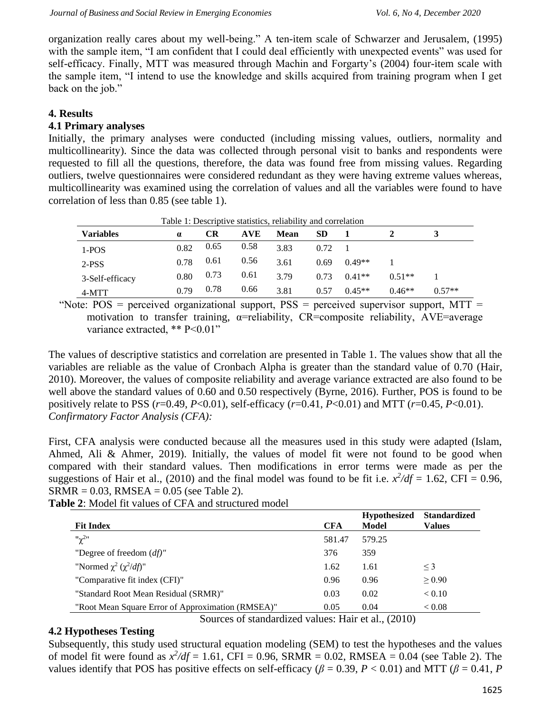organization really cares about my well-being." A ten-item scale of Schwarzer and Jerusalem, (1995) with the sample item, "I am confident that I could deal efficiently with unexpected events" was used for self-efficacy. Finally, MTT was measured through Machin and Forgarty's (2004) four-item scale with the sample item, "I intend to use the knowledge and skills acquired from training program when I get back on the job."

# **4. Results**

# **4.1 Primary analyses**

Initially, the primary analyses were conducted (including missing values, outliers, normality and multicollinearity). Since the data was collected through personal visit to banks and respondents were requested to fill all the questions, therefore, the data was found free from missing values. Regarding outliers, twelve questionnaires were considered redundant as they were having extreme values whereas, multicollinearity was examined using the correlation of values and all the variables were found to have correlation of less than 0.85 (see table 1).

| Table 1: Descriptive statistics, reliability and correlation |          |      |            |             |           |          |          |          |
|--------------------------------------------------------------|----------|------|------------|-------------|-----------|----------|----------|----------|
| <b>Variables</b>                                             | $\alpha$ | CR   | <b>AVE</b> | <b>Mean</b> | <b>SD</b> |          |          |          |
| $1-POS$                                                      | 0.82     | 0.65 | 0.58       | 3.83        | 0.72      |          |          |          |
| 2-PSS                                                        | 0.78     | 0.61 | 0.56       | 3.61        | 0.69      | $0.49**$ |          |          |
| 3-Self-efficacy                                              | 0.80     | 0.73 | 0.61       | 3.79        | 0.73      | $0.41**$ | $0.51**$ |          |
| 4-MTT                                                        | 0.79     | 0.78 | 0.66       | 3.81        | 0.57      | $0.45**$ | $0.46**$ | $0.57**$ |

"Note:  $POS =$  perceived organizational support,  $PSS =$  perceived supervisor support,  $MTT =$ motivation to transfer training,  $\alpha$ =reliability, CR=composite reliability, AVE=average variance extracted, \*\* P<0.01"

The values of descriptive statistics and correlation are presented in Table 1. The values show that all the variables are reliable as the value of Cronbach Alpha is greater than the standard value of 0.70 (Hair, 2010). Moreover, the values of composite reliability and average variance extracted are also found to be well above the standard values of 0.60 and 0.50 respectively (Byrne, 2016). Further, POS is found to be positively relate to PSS (*r*=0.49, *P*<0.01), self-efficacy (*r*=0.41, *P*<0.01) and MTT (*r*=0.45, *P*<0.01). *Confirmatory Factor Analysis (CFA):*

First, CFA analysis were conducted because all the measures used in this study were adapted (Islam, Ahmed, Ali & Ahmer, 2019). Initially, the values of model fit were not found to be good when compared with their standard values. Then modifications in error terms were made as per the suggestions of Hair et al., (2010) and the final model was found to be fit i.e.  $x^2/df = 1.62$ , CFI = 0.96,  $SRMR = 0.03$ ,  $RMSEA = 0.05$  (see Table 2).

| <b>Fit Index</b>                                  | <b>CFA</b> | <b>Hypothesized</b><br>Model | <b>Standardized</b><br><b>Values</b> |
|---------------------------------------------------|------------|------------------------------|--------------------------------------|
| $"{\chi}^2"$                                      | 581.47     | 579.25                       |                                      |
| "Degree of freedom $(df)$ "                       | 376        | 359                          |                                      |
| "Normed $\chi^2$ ( $\chi^2/df$ )"                 | 1.62       | 1.61                         | $\leq$ 3                             |
| "Comparative fit index (CFI)"                     | 0.96       | 0.96                         | > 0.90                               |
| "Standard Root Mean Residual (SRMR)"              | 0.03       | 0.02                         | < 0.10                               |
| "Root Mean Square Error of Approximation (RMSEA)" | 0.05       | 0.04                         | < 0.08                               |

Sources of standardized values: Hair et al., (2010)

# **4.2 Hypotheses Testing**

Subsequently, this study used structural equation modeling (SEM) to test the hypotheses and the values of model fit were found as  $x^2/df = 1.61$ , CFI = 0.96, SRMR = 0.02, RMSEA = 0.04 (see Table 2). The values identify that POS has positive effects on self-efficacy ( $\beta = 0.39$ ,  $P < 0.01$ ) and MTT ( $\beta = 0.41$ , *P*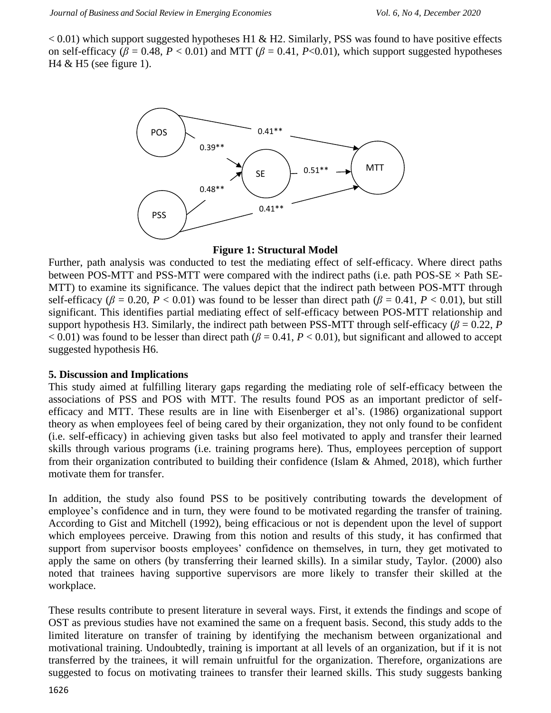$< 0.01$ ) which support suggested hypotheses H1 & H2. Similarly, PSS was found to have positive effects on self-efficacy ( $\beta$  = 0.48,  $P < 0.01$ ) and MTT ( $\beta$  = 0.41,  $P < 0.01$ ), which support suggested hypotheses  $H4 \& H5$  (see figure 1).



#### **Figure 1: Structural Model**

Further, path analysis was conducted to test the mediating effect of self-efficacy. Where direct paths between POS-MTT and PSS-MTT were compared with the indirect paths (i.e. path POS-SE  $\times$  Path SE-MTT) to examine its significance. The values depict that the indirect path between POS-MTT through self-efficacy ( $\beta$  = 0.20, *P* < 0.01) was found to be lesser than direct path ( $\beta$  = 0.41, *P* < 0.01), but still significant. This identifies partial mediating effect of self-efficacy between POS-MTT relationship and support hypothesis H3. Similarly, the indirect path between PSS-MTT through self-efficacy ( $\beta$  = 0.22, *P*  $< 0.01$ ) was found to be lesser than direct path ( $\beta = 0.41$ ,  $P < 0.01$ ), but significant and allowed to accept suggested hypothesis H6.

## **5. Discussion and Implications**

This study aimed at fulfilling literary gaps regarding the mediating role of self-efficacy between the associations of PSS and POS with MTT. The results found POS as an important predictor of selfefficacy and MTT. These results are in line with Eisenberger et al's. (1986) organizational support theory as when employees feel of being cared by their organization, they not only found to be confident (i.e. self-efficacy) in achieving given tasks but also feel motivated to apply and transfer their learned skills through various programs (i.e. training programs here). Thus, employees perception of support from their organization contributed to building their confidence (Islam & Ahmed, 2018), which further motivate them for transfer.

In addition, the study also found PSS to be positively contributing towards the development of employee's confidence and in turn, they were found to be motivated regarding the transfer of training. According to Gist and Mitchell (1992), being efficacious or not is dependent upon the level of support which employees perceive. Drawing from this notion and results of this study, it has confirmed that support from supervisor boosts employees' confidence on themselves, in turn, they get motivated to apply the same on others (by transferring their learned skills). In a similar study, Taylor. (2000) also noted that trainees having supportive supervisors are more likely to transfer their skilled at the workplace.

These results contribute to present literature in several ways. First, it extends the findings and scope of OST as previous studies have not examined the same on a frequent basis. Second, this study adds to the limited literature on transfer of training by identifying the mechanism between organizational and motivational training. Undoubtedly, training is important at all levels of an organization, but if it is not transferred by the trainees, it will remain unfruitful for the organization. Therefore, organizations are suggested to focus on motivating trainees to transfer their learned skills. This study suggests banking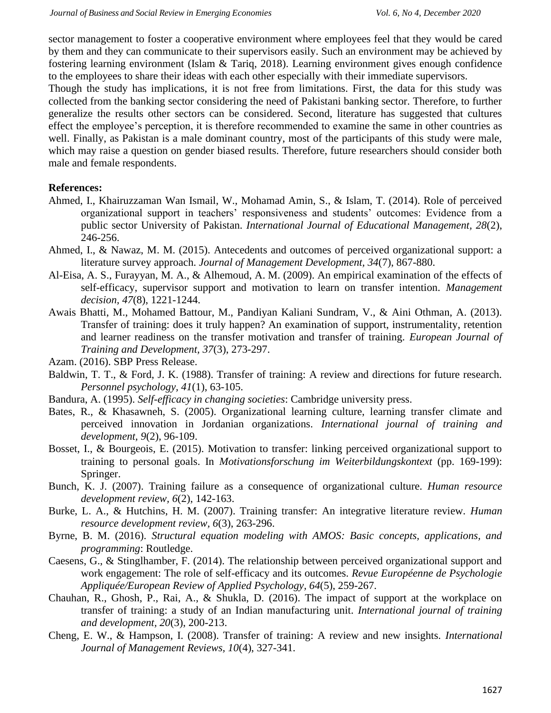sector management to foster a cooperative environment where employees feel that they would be cared by them and they can communicate to their supervisors easily. Such an environment may be achieved by fostering learning environment (Islam & Tariq, 2018). Learning environment gives enough confidence to the employees to share their ideas with each other especially with their immediate supervisors.

Though the study has implications, it is not free from limitations. First, the data for this study was collected from the banking sector considering the need of Pakistani banking sector. Therefore, to further generalize the results other sectors can be considered. Second, literature has suggested that cultures effect the employee's perception, it is therefore recommended to examine the same in other countries as well. Finally, as Pakistan is a male dominant country, most of the participants of this study were male, which may raise a question on gender biased results. Therefore, future researchers should consider both male and female respondents.

# **References:**

- Ahmed, I., Khairuzzaman Wan Ismail, W., Mohamad Amin, S., & Islam, T. (2014). Role of perceived organizational support in teachers' responsiveness and students' outcomes: Evidence from a public sector University of Pakistan. *International Journal of Educational Management, 28*(2), 246-256.
- Ahmed, I., & Nawaz, M. M. (2015). Antecedents and outcomes of perceived organizational support: a literature survey approach. *Journal of Management Development, 34*(7), 867-880.
- Al-Eisa, A. S., Furayyan, M. A., & Alhemoud, A. M. (2009). An empirical examination of the effects of self-efficacy, supervisor support and motivation to learn on transfer intention. *Management decision, 47*(8), 1221-1244.
- Awais Bhatti, M., Mohamed Battour, M., Pandiyan Kaliani Sundram, V., & Aini Othman, A. (2013). Transfer of training: does it truly happen? An examination of support, instrumentality, retention and learner readiness on the transfer motivation and transfer of training. *European Journal of Training and Development, 37*(3), 273-297.
- Azam. (2016). SBP Press Release.
- Baldwin, T. T., & Ford, J. K. (1988). Transfer of training: A review and directions for future research. *Personnel psychology, 41*(1), 63-105.
- Bandura, A. (1995). *Self-efficacy in changing societies*: Cambridge university press.
- Bates, R., & Khasawneh, S. (2005). Organizational learning culture, learning transfer climate and perceived innovation in Jordanian organizations. *International journal of training and development, 9*(2), 96-109.
- Bosset, I., & Bourgeois, E. (2015). Motivation to transfer: linking perceived organizational support to training to personal goals. In *Motivationsforschung im Weiterbildungskontext* (pp. 169-199): Springer.
- Bunch, K. J. (2007). Training failure as a consequence of organizational culture. *Human resource development review, 6*(2), 142-163.
- Burke, L. A., & Hutchins, H. M. (2007). Training transfer: An integrative literature review. *Human resource development review, 6*(3), 263-296.
- Byrne, B. M. (2016). *Structural equation modeling with AMOS: Basic concepts, applications, and programming*: Routledge.
- Caesens, G., & Stinglhamber, F. (2014). The relationship between perceived organizational support and work engagement: The role of self-efficacy and its outcomes. *Revue Européenne de Psychologie Appliquée/European Review of Applied Psychology, 64*(5), 259-267.
- Chauhan, R., Ghosh, P., Rai, A., & Shukla, D. (2016). The impact of support at the workplace on transfer of training: a study of an Indian manufacturing unit. *International journal of training and development, 20*(3), 200-213.
- Cheng, E. W., & Hampson, I. (2008). Transfer of training: A review and new insights. *International Journal of Management Reviews, 10*(4), 327-341.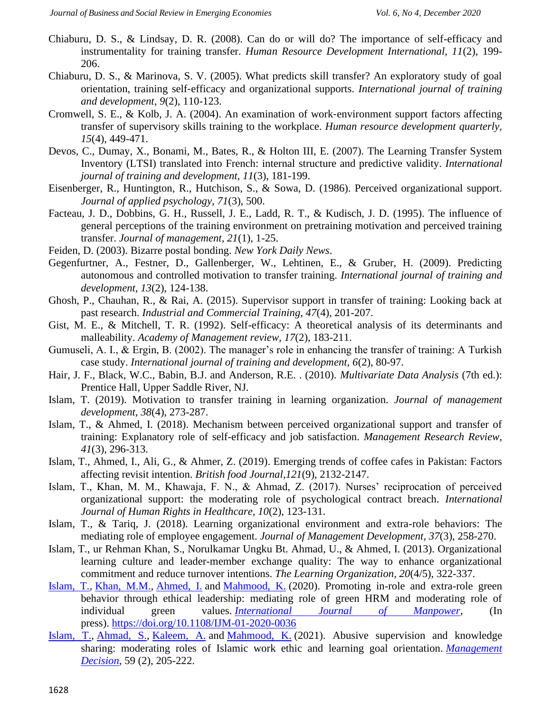- Chiaburu, D. S., & Lindsay, D. R. (2008). Can do or will do? The importance of self-efficacy and instrumentality for training transfer. *Human Resource Development International, 11*(2), 199- 206.
- Chiaburu, D. S., & Marinova, S. V. (2005). What predicts skill transfer? An exploratory study of goal orientation, training self‐efficacy and organizational supports. *International journal of training and development, 9*(2), 110-123.
- Cromwell, S. E., & Kolb, J. A. (2004). An examination of work‐environment support factors affecting transfer of supervisory skills training to the workplace. *Human resource development quarterly, 15*(4), 449-471.
- Devos, C., Dumay, X., Bonami, M., Bates, R., & Holton III, E. (2007). The Learning Transfer System Inventory (LTSI) translated into French: internal structure and predictive validity. *International journal of training and development, 11*(3), 181-199.
- Eisenberger, R., Huntington, R., Hutchison, S., & Sowa, D. (1986). Perceived organizational support. *Journal of applied psychology, 71*(3), 500.
- Facteau, J. D., Dobbins, G. H., Russell, J. E., Ladd, R. T., & Kudisch, J. D. (1995). The influence of general perceptions of the training environment on pretraining motivation and perceived training transfer. *Journal of management, 21*(1), 1-25.
- Feiden, D. (2003). Bizarre postal bonding. *New York Daily News*.
- Gegenfurtner, A., Festner, D., Gallenberger, W., Lehtinen, E., & Gruber, H. (2009). Predicting autonomous and controlled motivation to transfer training. *International journal of training and development, 13*(2), 124-138.
- Ghosh, P., Chauhan, R., & Rai, A. (2015). Supervisor support in transfer of training: Looking back at past research. *Industrial and Commercial Training, 47*(4), 201-207.
- Gist, M. E., & Mitchell, T. R. (1992). Self-efficacy: A theoretical analysis of its determinants and malleability. *Academy of Management review, 17*(2), 183-211.
- Gumuseli, A. I., & Ergin, B. (2002). The manager's role in enhancing the transfer of training: A Turkish case study. *International journal of training and development, 6*(2), 80-97.
- Hair, J. F., Black, W.C., Babin, B.J. and Anderson, R.E. . (2010). *Multivariate Data Analysis* (7th ed.): Prentice Hall, Upper Saddle River, NJ.
- Islam, T. (2019). Motivation to transfer training in learning organization. *Journal of management development, 38*(4), 273-287.
- Islam, T., & Ahmed, I. (2018). Mechanism between perceived organizational support and transfer of training: Explanatory role of self-efficacy and job satisfaction. *Management Research Review, 41*(3), 296-313.
- Islam, T., Ahmed, I., Ali, G., & Ahmer, Z. (2019). Emerging trends of coffee cafes in Pakistan: Factors affecting revisit intention. *British food Journal*,*121*(9), 2132-2147.
- Islam, T., Khan, M. M., Khawaja, F. N., & Ahmad, Z. (2017). Nurses' reciprocation of perceived organizational support: the moderating role of psychological contract breach. *International Journal of Human Rights in Healthcare, 10*(2), 123-131.
- Islam, T., & Tariq, J. (2018). Learning organizational environment and extra-role behaviors: The mediating role of employee engagement. *Journal of Management Development, 37*(3), 258-270.
- Islam, T., ur Rehman Khan, S., Norulkamar Ungku Bt. Ahmad, U., & Ahmed, I. (2013). Organizational learning culture and leader-member exchange quality: The way to enhance organizational commitment and reduce turnover intentions. *The Learning Organization, 20*(4/5), 322-337.
- [Islam, T.,](https://www.emerald.com/insight/search?q=Talat%20Islam) [Khan, M.M.,](https://www.emerald.com/insight/search?q=Mubbsher%20Munawar%20Khan) [Ahmed, I.](https://www.emerald.com/insight/search?q=Ishfaq%20Ahmed) and [Mahmood, K.](https://www.emerald.com/insight/search?q=Khalid%20Mahmood) (2020). Promoting in-role and extra-role green behavior through ethical leadership: mediating role of green HRM and moderating role of individual green values. *[International Journal of Manpower](https://www.emerald.com/insight/publication/issn/0143-7720)*, (In press). <https://doi.org/10.1108/IJM-01-2020-0036>
- [Islam, T.,](https://www.emerald.com/insight/search?q=Talat%20Islam) [Ahmad, S.,](https://www.emerald.com/insight/search?q=Saima%20Ahmad) [Kaleem, A.](https://www.emerald.com/insight/search?q=Ahmad%20Kaleem) and [Mahmood, K.](https://www.emerald.com/insight/search?q=Khalid%20Mahmood) (2021). Abusive supervision and knowledge sharing: moderating roles of Islamic work ethic and learning goal orientation. *[Management](https://www.emerald.com/insight/publication/issn/0025-1747)  [Decision](https://www.emerald.com/insight/publication/issn/0025-1747)*, 59 (2), 205-222.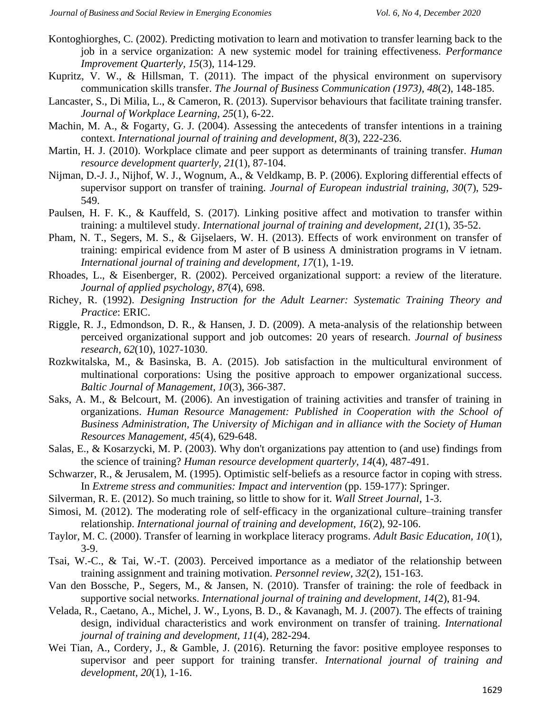- Kontoghiorghes, C. (2002). Predicting motivation to learn and motivation to transfer learning back to the job in a service organization: A new systemic model for training effectiveness. *Performance Improvement Quarterly, 15*(3), 114-129.
- Kupritz, V. W., & Hillsman, T. (2011). The impact of the physical environment on supervisory communication skills transfer. *The Journal of Business Communication (1973), 48*(2), 148-185.
- Lancaster, S., Di Milia, L., & Cameron, R. (2013). Supervisor behaviours that facilitate training transfer. *Journal of Workplace Learning, 25*(1), 6-22.
- Machin, M. A., & Fogarty, G. J. (2004). Assessing the antecedents of transfer intentions in a training context. *International journal of training and development, 8*(3), 222-236.
- Martin, H. J. (2010). Workplace climate and peer support as determinants of training transfer. *Human resource development quarterly, 21*(1), 87-104.
- Nijman, D.-J. J., Nijhof, W. J., Wognum, A., & Veldkamp, B. P. (2006). Exploring differential effects of supervisor support on transfer of training. *Journal of European industrial training, 30*(7), 529- 549.
- Paulsen, H. F. K., & Kauffeld, S. (2017). Linking positive affect and motivation to transfer within training: a multilevel study. *International journal of training and development, 21*(1), 35-52.
- Pham, N. T., Segers, M. S., & Gijselaers, W. H. (2013). Effects of work environment on transfer of training: empirical evidence from M aster of B usiness A dministration programs in V ietnam. *International journal of training and development, 17*(1), 1-19.
- Rhoades, L., & Eisenberger, R. (2002). Perceived organizational support: a review of the literature. *Journal of applied psychology, 87*(4), 698.
- Richey, R. (1992). *Designing Instruction for the Adult Learner: Systematic Training Theory and Practice*: ERIC.
- Riggle, R. J., Edmondson, D. R., & Hansen, J. D. (2009). A meta-analysis of the relationship between perceived organizational support and job outcomes: 20 years of research. *Journal of business research, 62*(10), 1027-1030.
- Rozkwitalska, M., & Basinska, B. A. (2015). Job satisfaction in the multicultural environment of multinational corporations: Using the positive approach to empower organizational success. *Baltic Journal of Management, 10*(3), 366-387.
- Saks, A. M., & Belcourt, M. (2006). An investigation of training activities and transfer of training in organizations. *Human Resource Management: Published in Cooperation with the School of Business Administration, The University of Michigan and in alliance with the Society of Human Resources Management, 45*(4), 629-648.
- Salas, E., & Kosarzycki, M. P. (2003). Why don't organizations pay attention to (and use) findings from the science of training? *Human resource development quarterly, 14*(4), 487-491.
- Schwarzer, R., & Jerusalem, M. (1995). Optimistic self-beliefs as a resource factor in coping with stress. In *Extreme stress and communities: Impact and intervention* (pp. 159-177): Springer.
- Silverman, R. E. (2012). So much training, so little to show for it. *Wall Street Journal*, 1-3.
- Simosi, M. (2012). The moderating role of self-efficacy in the organizational culture–training transfer relationship. *International journal of training and development, 16*(2), 92-106.
- Taylor, M. C. (2000). Transfer of learning in workplace literacy programs. *Adult Basic Education, 10*(1), 3-9.
- Tsai, W.-C., & Tai, W.-T. (2003). Perceived importance as a mediator of the relationship between training assignment and training motivation. *Personnel review, 32*(2), 151-163.
- Van den Bossche, P., Segers, M., & Jansen, N. (2010). Transfer of training: the role of feedback in supportive social networks. *International journal of training and development, 14*(2), 81-94.
- Velada, R., Caetano, A., Michel, J. W., Lyons, B. D., & Kavanagh, M. J. (2007). The effects of training design, individual characteristics and work environment on transfer of training. *International journal of training and development, 11*(4), 282-294.
- Wei Tian, A., Cordery, J., & Gamble, J. (2016). Returning the favor: positive employee responses to supervisor and peer support for training transfer. *International journal of training and development, 20*(1), 1-16.